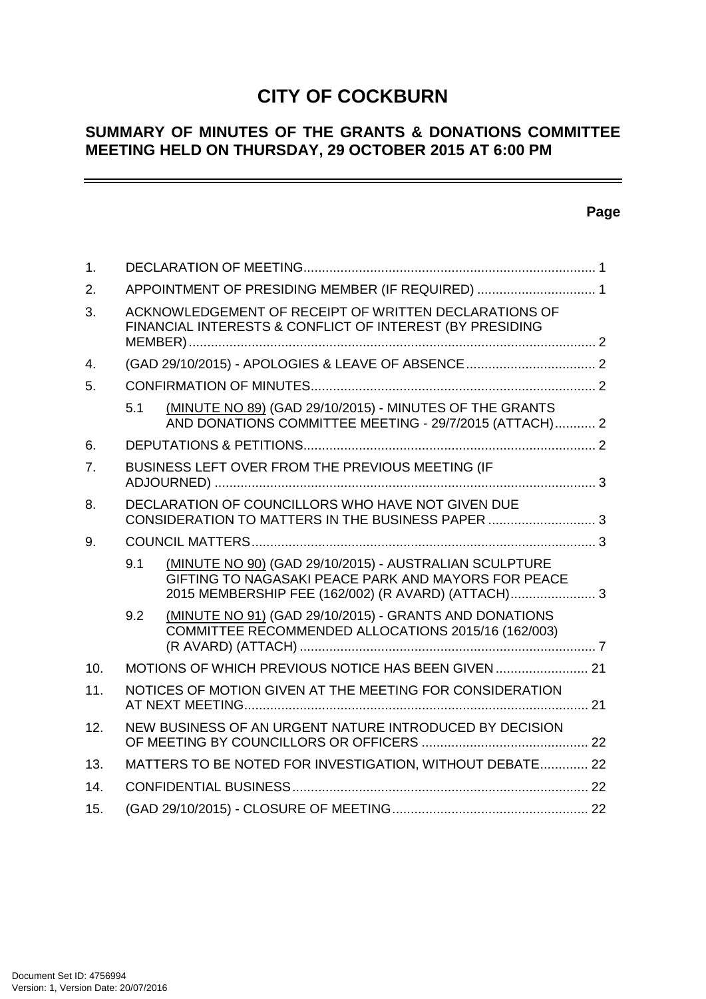# **CITY OF COCKBURN**

# **SUMMARY OF MINUTES OF THE GRANTS & DONATIONS COMMITTEE MEETING HELD ON THURSDAY, 29 OCTOBER 2015 AT 6:00 PM**

# **Page**

 $\overline{\phantom{a}}$ 

| 1.  |     |                                                                                                                                                                     |  |
|-----|-----|---------------------------------------------------------------------------------------------------------------------------------------------------------------------|--|
| 2.  |     | APPOINTMENT OF PRESIDING MEMBER (IF REQUIRED)  1                                                                                                                    |  |
| 3.  |     | ACKNOWLEDGEMENT OF RECEIPT OF WRITTEN DECLARATIONS OF<br>FINANCIAL INTERESTS & CONFLICT OF INTEREST (BY PRESIDING                                                   |  |
| 4.  |     |                                                                                                                                                                     |  |
| 5.  |     |                                                                                                                                                                     |  |
|     | 5.1 | (MINUTE NO 89) (GAD 29/10/2015) - MINUTES OF THE GRANTS<br>AND DONATIONS COMMITTEE MEETING - 29/7/2015 (ATTACH) 2                                                   |  |
| 6.  |     |                                                                                                                                                                     |  |
| 7.  |     | BUSINESS LEFT OVER FROM THE PREVIOUS MEETING (IF                                                                                                                    |  |
| 8.  |     | DECLARATION OF COUNCILLORS WHO HAVE NOT GIVEN DUE<br>CONSIDERATION TO MATTERS IN THE BUSINESS PAPER 3                                                               |  |
| 9.  |     |                                                                                                                                                                     |  |
|     | 9.1 | (MINUTE NO 90) (GAD 29/10/2015) - AUSTRALIAN SCULPTURE<br>GIFTING TO NAGASAKI PEACE PARK AND MAYORS FOR PEACE<br>2015 MEMBERSHIP FEE (162/002) (R AVARD) (ATTACH) 3 |  |
|     | 9.2 | (MINUTE NO 91) (GAD 29/10/2015) - GRANTS AND DONATIONS<br>COMMITTEE RECOMMENDED ALLOCATIONS 2015/16 (162/003)                                                       |  |
| 10. |     |                                                                                                                                                                     |  |
| 11. |     | NOTICES OF MOTION GIVEN AT THE MEETING FOR CONSIDERATION                                                                                                            |  |
| 12. |     | NEW BUSINESS OF AN URGENT NATURE INTRODUCED BY DECISION                                                                                                             |  |
| 13. |     | MATTERS TO BE NOTED FOR INVESTIGATION, WITHOUT DEBATE 22                                                                                                            |  |
| 14. |     |                                                                                                                                                                     |  |
| 15. |     |                                                                                                                                                                     |  |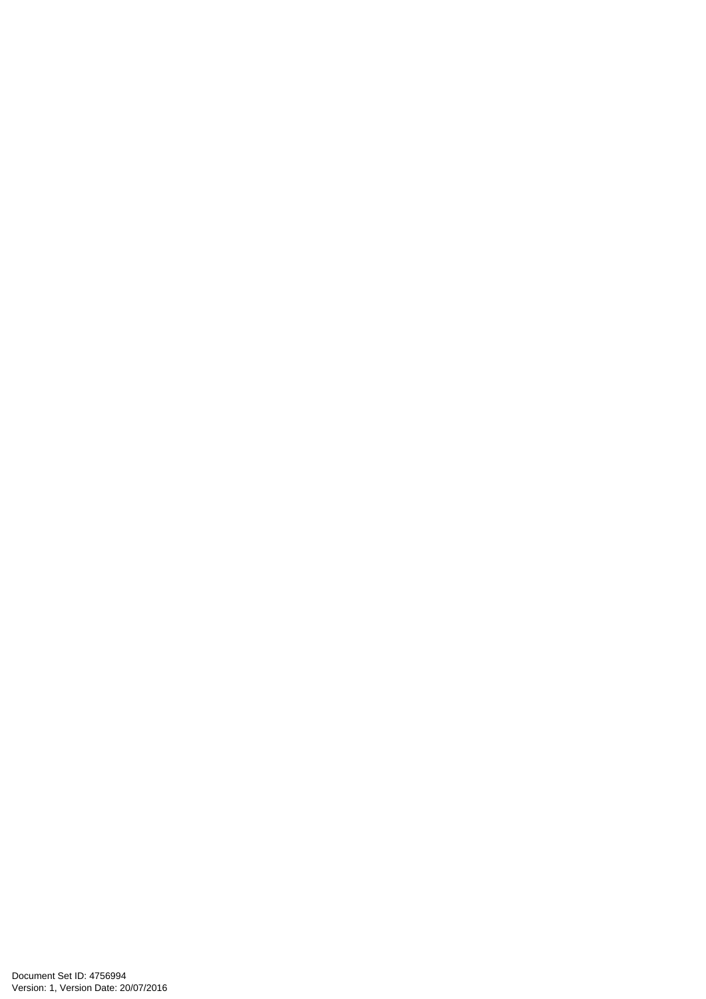Document Set ID: 4756994<br>Version: 1, Version Date: 20/07/2016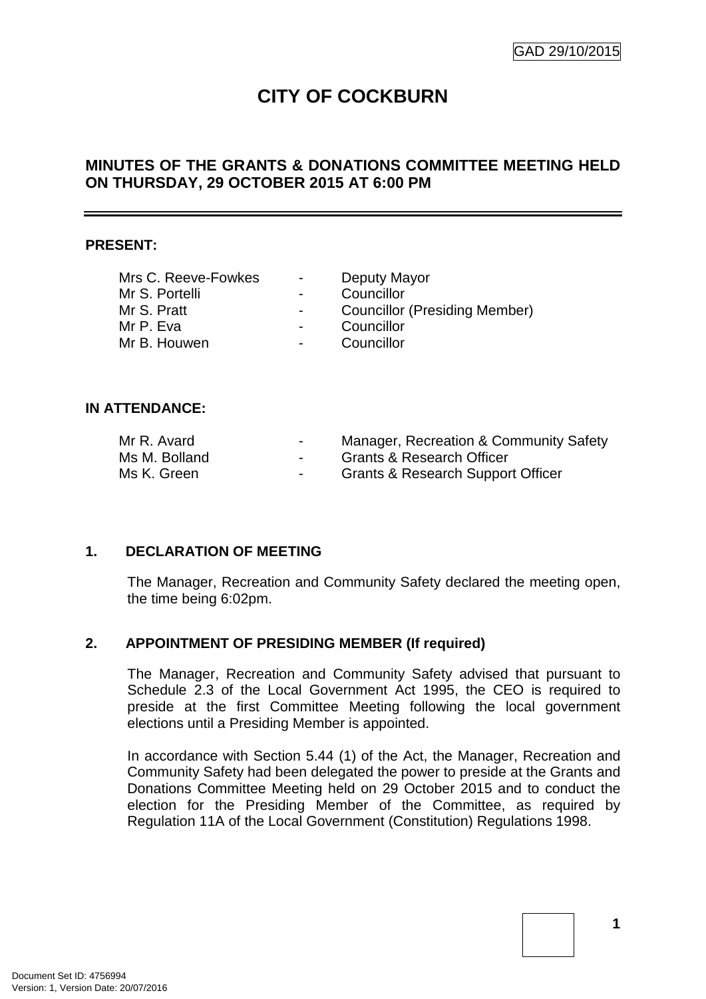# **CITY OF COCKBURN**

# **MINUTES OF THE GRANTS & DONATIONS COMMITTEE MEETING HELD ON THURSDAY, 29 OCTOBER 2015 AT 6:00 PM**

#### **PRESENT:**

| Mrs C. Reeve-Fowkes | $\sim 100$ | Deputy Mayor                         |
|---------------------|------------|--------------------------------------|
| Mr S. Portelli      |            | Councillor                           |
| Mr S. Pratt         |            | <b>Councillor (Presiding Member)</b> |
| Mr P. Eva           |            | Councillor                           |
| Mr B. Houwen        |            | Councillor                           |
|                     |            |                                      |

#### **IN ATTENDANCE:**

| Mr R. Avard   | $\sim$ | Manager, Recreation & Community Safety       |
|---------------|--------|----------------------------------------------|
| Ms M. Bolland | $\sim$ | <b>Grants &amp; Research Officer</b>         |
| Ms K. Green   | $\sim$ | <b>Grants &amp; Research Support Officer</b> |

#### **1. DECLARATION OF MEETING**

The Manager, Recreation and Community Safety declared the meeting open, the time being 6:02pm.

# **2. APPOINTMENT OF PRESIDING MEMBER (If required)**

The Manager, Recreation and Community Safety advised that pursuant to Schedule 2.3 of the Local Government Act 1995, the CEO is required to preside at the first Committee Meeting following the local government elections until a Presiding Member is appointed.

In accordance with Section 5.44 (1) of the Act, the Manager, Recreation and Community Safety had been delegated the power to preside at the Grants and Donations Committee Meeting held on 29 October 2015 and to conduct the election for the Presiding Member of the Committee, as required by Regulation 11A of the Local Government (Constitution) Regulations 1998.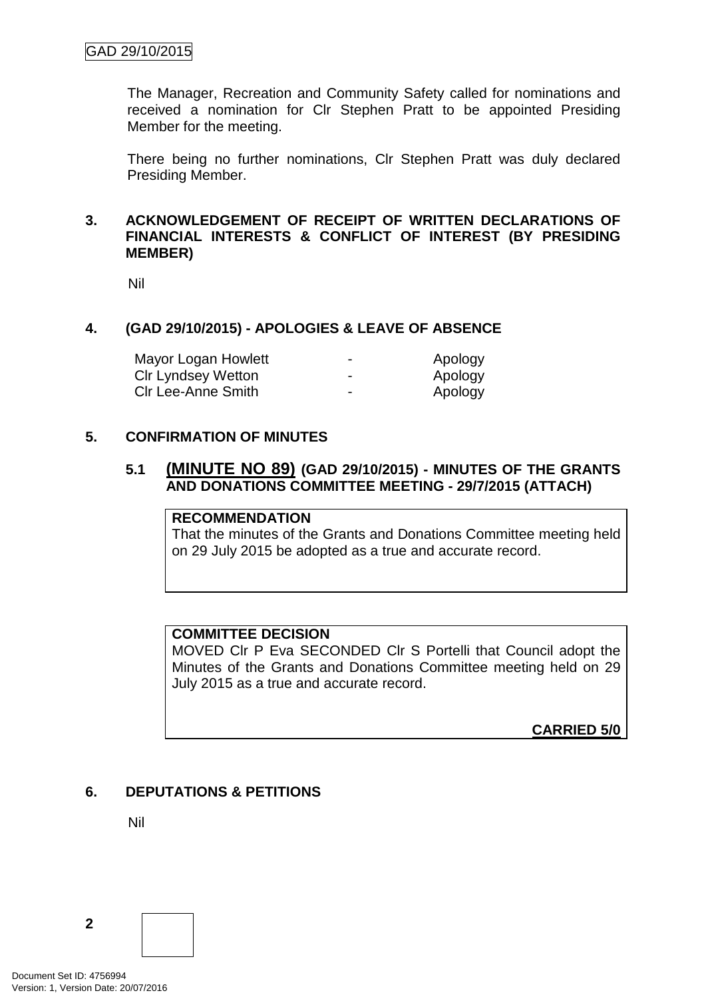The Manager, Recreation and Community Safety called for nominations and received a nomination for Clr Stephen Pratt to be appointed Presiding Member for the meeting.

There being no further nominations, Clr Stephen Pratt was duly declared Presiding Member.

#### **3. ACKNOWLEDGEMENT OF RECEIPT OF WRITTEN DECLARATIONS OF FINANCIAL INTERESTS & CONFLICT OF INTEREST (BY PRESIDING MEMBER)**

Nil

#### **4. (GAD 29/10/2015) - APOLOGIES & LEAVE OF ABSENCE**

| Mayor Logan Howlett | $\overline{\phantom{0}}$ | Apology |
|---------------------|--------------------------|---------|
| CIr Lyndsey Wetton  | $\overline{\phantom{0}}$ | Apology |
| Clr Lee-Anne Smith  | $\overline{\phantom{0}}$ | Apology |

#### **5. CONFIRMATION OF MINUTES**

#### **5.1 (MINUTE NO 89) (GAD 29/10/2015) - MINUTES OF THE GRANTS AND DONATIONS COMMITTEE MEETING - 29/7/2015 (ATTACH)**

# **RECOMMENDATION**

That the minutes of the Grants and Donations Committee meeting held on 29 July 2015 be adopted as a true and accurate record.

#### **COMMITTEE DECISION**

MOVED Clr P Eva SECONDED Clr S Portelli that Council adopt the Minutes of the Grants and Donations Committee meeting held on 29 July 2015 as a true and accurate record.

**CARRIED 5/0**

#### **6. DEPUTATIONS & PETITIONS**

Nil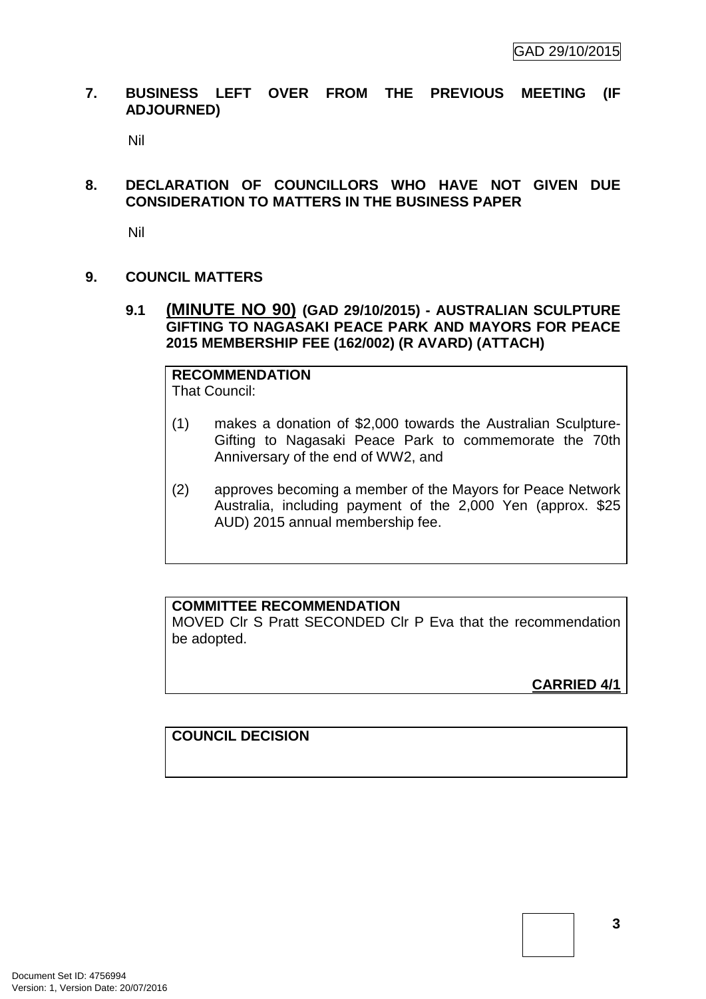#### **7. BUSINESS LEFT OVER FROM THE PREVIOUS MEETING (IF ADJOURNED)**

Nil

### **8. DECLARATION OF COUNCILLORS WHO HAVE NOT GIVEN DUE CONSIDERATION TO MATTERS IN THE BUSINESS PAPER**

Nil

#### **9. COUNCIL MATTERS**

**9.1 (MINUTE NO 90) (GAD 29/10/2015) - AUSTRALIAN SCULPTURE GIFTING TO NAGASAKI PEACE PARK AND MAYORS FOR PEACE 2015 MEMBERSHIP FEE (162/002) (R AVARD) (ATTACH)**

**RECOMMENDATION** That Council:

- (1) makes a donation of \$2,000 towards the Australian Sculpture-Gifting to Nagasaki Peace Park to commemorate the 70th Anniversary of the end of WW2, and
- (2) approves becoming a member of the Mayors for Peace Network Australia, including payment of the 2,000 Yen (approx. \$25 AUD) 2015 annual membership fee.

# **COMMITTEE RECOMMENDATION**

MOVED Clr S Pratt SECONDED Clr P Eva that the recommendation be adopted.

**CARRIED 4/1**

**COUNCIL DECISION**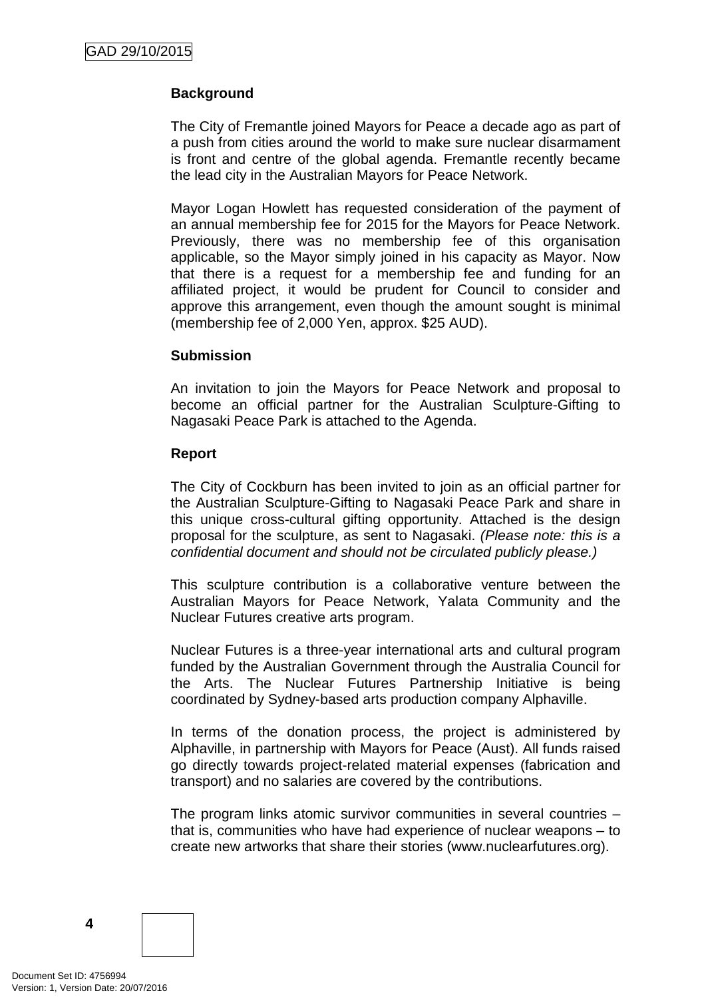# **Background**

The City of Fremantle joined Mayors for Peace a decade ago as part of a push from cities around the world to make sure nuclear disarmament is front and centre of the global agenda. Fremantle recently became the lead city in the Australian Mayors for Peace Network.

Mayor Logan Howlett has requested consideration of the payment of an annual membership fee for 2015 for the Mayors for Peace Network. Previously, there was no membership fee of this organisation applicable, so the Mayor simply joined in his capacity as Mayor. Now that there is a request for a membership fee and funding for an affiliated project, it would be prudent for Council to consider and approve this arrangement, even though the amount sought is minimal (membership fee of 2,000 Yen, approx. \$25 AUD).

#### **Submission**

An invitation to join the Mayors for Peace Network and proposal to become an official partner for the Australian Sculpture-Gifting to Nagasaki Peace Park is attached to the Agenda.

#### **Report**

The City of Cockburn has been invited to join as an official partner for the Australian Sculpture-Gifting to Nagasaki Peace Park and share in this unique cross-cultural gifting opportunity. Attached is the design proposal for the sculpture, as sent to Nagasaki. *(Please note: this is a confidential document and should not be circulated publicly please.)*

This sculpture contribution is a collaborative venture between the Australian Mayors for Peace Network, Yalata Community and the Nuclear Futures creative arts program.

Nuclear Futures is a three-year international arts and cultural program funded by the Australian Government through the Australia Council for the Arts. The Nuclear Futures Partnership Initiative is being coordinated by Sydney-based arts production company Alphaville.

In terms of the donation process, the project is administered by Alphaville, in partnership with Mayors for Peace (Aust). All funds raised go directly towards project-related material expenses (fabrication and transport) and no salaries are covered by the contributions.

The program links atomic survivor communities in several countries – that is, communities who have had experience of nuclear weapons – to create new artworks that share their stories [\(www.nuclearfutures.org\).](http://www.nuclearfutures.org)/)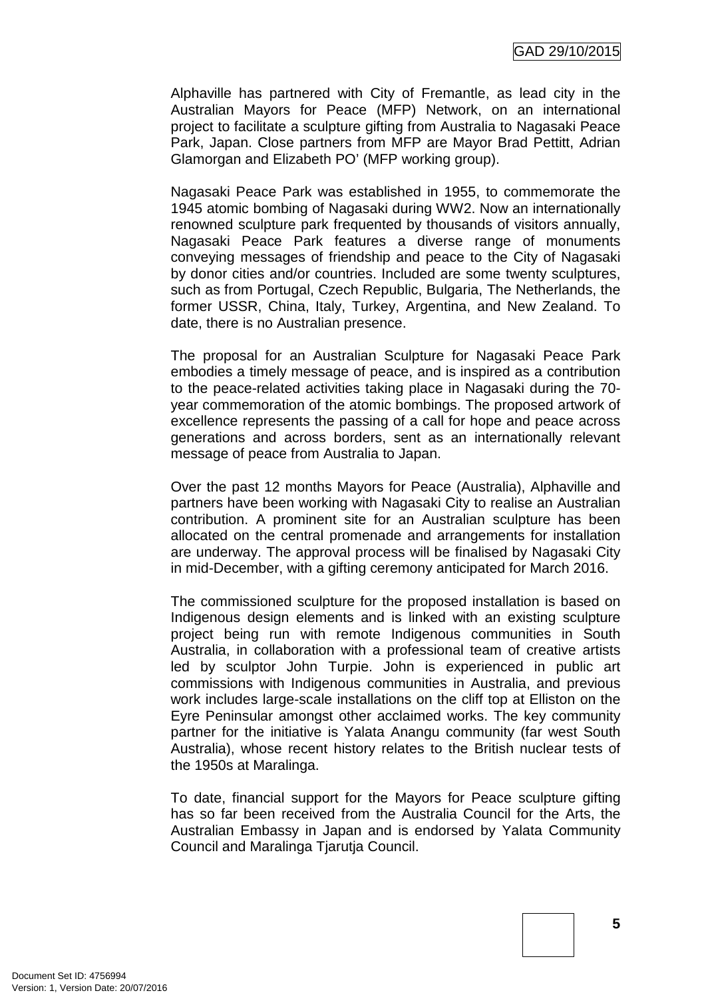Alphaville has partnered with City of Fremantle, as lead city in the Australian Mayors for Peace (MFP) Network, on an international project to facilitate a sculpture gifting from Australia to Nagasaki Peace Park, Japan. Close partners from MFP are Mayor Brad Pettitt, Adrian Glamorgan and Elizabeth PO' (MFP working group).

Nagasaki Peace Park was established in 1955, to commemorate the 1945 atomic bombing of Nagasaki during WW2. Now an internationally renowned sculpture park frequented by thousands of visitors annually, Nagasaki Peace Park features a diverse range of monuments conveying messages of friendship and peace to the City of Nagasaki by donor cities and/or countries. Included are some twenty sculptures, such as from Portugal, Czech Republic, Bulgaria, The Netherlands, the former USSR, China, Italy, Turkey, Argentina, and New Zealand. To date, there is no Australian presence.

The proposal for an Australian Sculpture for Nagasaki Peace Park embodies a timely message of peace, and is inspired as a contribution to the peace-related activities taking place in Nagasaki during the 70 year commemoration of the atomic bombings. The proposed artwork of excellence represents the passing of a call for hope and peace across generations and across borders, sent as an internationally relevant message of peace from Australia to Japan.

Over the past 12 months Mayors for Peace (Australia), Alphaville and partners have been working with Nagasaki City to realise an Australian contribution. A prominent site for an Australian sculpture has been allocated on the central promenade and arrangements for installation are underway. The approval process will be finalised by Nagasaki City in mid-December, with a gifting ceremony anticipated for March 2016.

The commissioned sculpture for the proposed installation is based on Indigenous design elements and is linked with an existing sculpture project being run with remote Indigenous communities in South Australia, in collaboration with a professional team of creative artists led by sculptor John Turpie. John is experienced in public art commissions with Indigenous communities in Australia, and previous work includes large-scale installations on the cliff top at Elliston on the Eyre Peninsular amongst other acclaimed works. The key community partner for the initiative is Yalata Anangu community (far west South Australia), whose recent history relates to the British nuclear tests of the 1950s at Maralinga.

To date, financial support for the Mayors for Peace sculpture gifting has so far been received from the Australia Council for the Arts, the Australian Embassy in Japan and is endorsed by Yalata Community Council and Maralinga Tjarutja Council.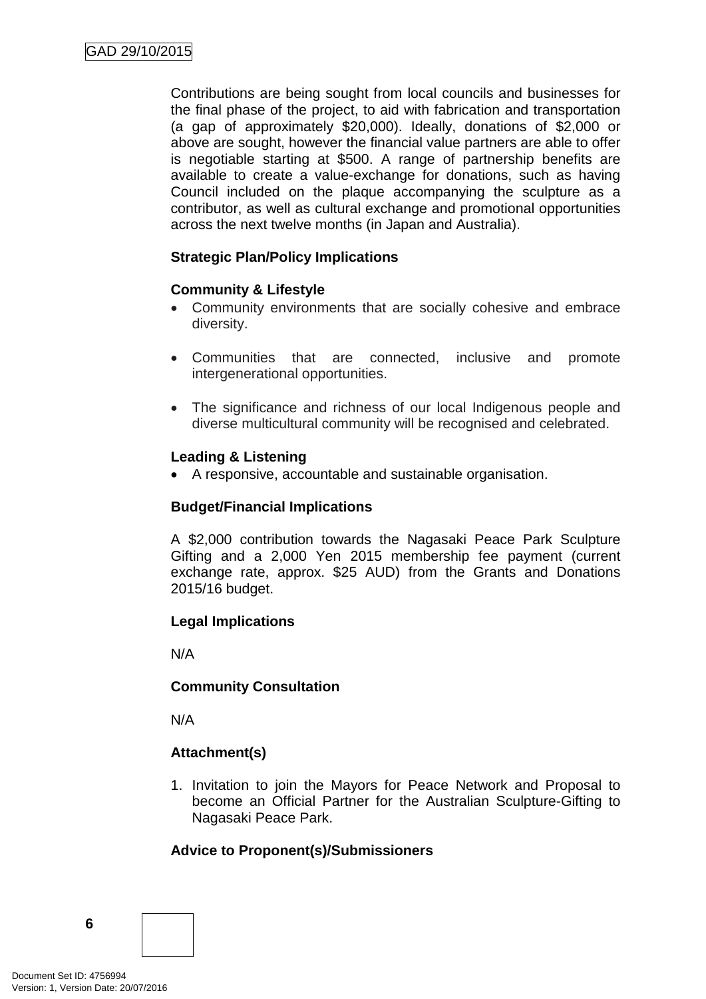Contributions are being sought from local councils and businesses for the final phase of the project, to aid with fabrication and transportation (a gap of approximately \$20,000). Ideally, donations of \$2,000 or above are sought, however the financial value partners are able to offer is negotiable starting at \$500. A range of partnership benefits are available to create a value-exchange for donations, such as having Council included on the plaque accompanying the sculpture as a contributor, as well as cultural exchange and promotional opportunities across the next twelve months (in Japan and Australia).

# **Strategic Plan/Policy Implications**

# **Community & Lifestyle**

- Community environments that are socially cohesive and embrace diversity.
- Communities that are connected, inclusive and promote intergenerational opportunities.
- The significance and richness of our local Indigenous people and diverse multicultural community will be recognised and celebrated.

# **Leading & Listening**

• A responsive, accountable and sustainable organisation.

# **Budget/Financial Implications**

A \$2,000 contribution towards the Nagasaki Peace Park Sculpture Gifting and a 2,000 Yen 2015 membership fee payment (current exchange rate, approx. \$25 AUD) from the Grants and Donations 2015/16 budget.

# **Legal Implications**

N/A

#### **Community Consultation**

N/A

# **Attachment(s)**

1. Invitation to join the Mayors for Peace Network and Proposal to become an Official Partner for the Australian Sculpture-Gifting to Nagasaki Peace Park.

# **Advice to Proponent(s)/Submissioners**

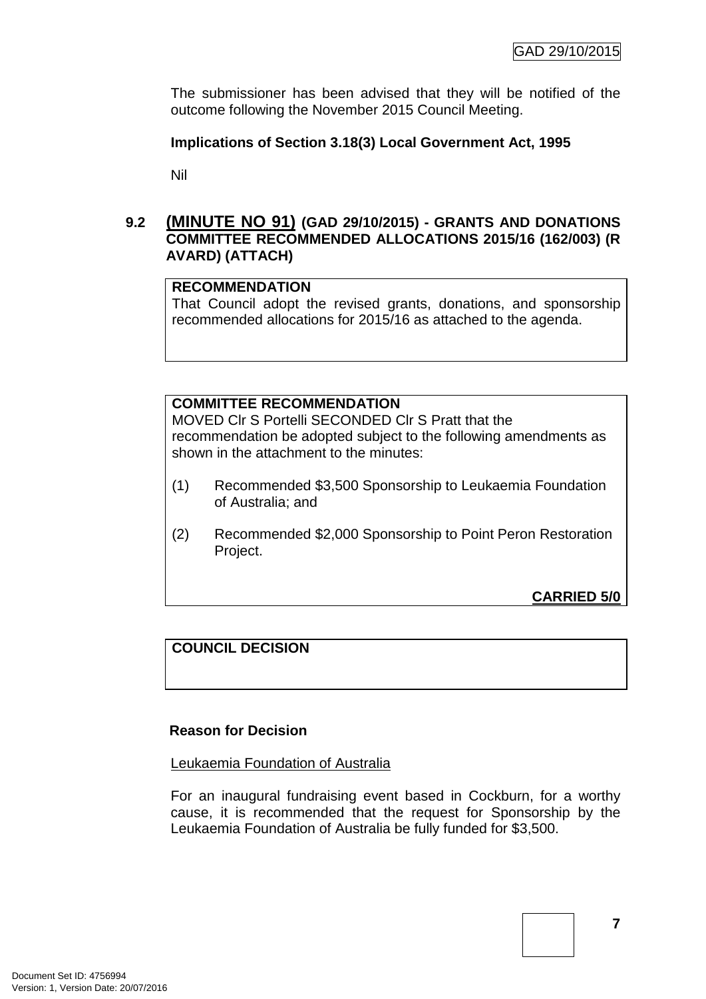The submissioner has been advised that they will be notified of the outcome following the November 2015 Council Meeting.

# **Implications of Section 3.18(3) Local Government Act, 1995**

Nil

# **9.2 (MINUTE NO 91) (GAD 29/10/2015) - GRANTS AND DONATIONS COMMITTEE RECOMMENDED ALLOCATIONS 2015/16 (162/003) (R AVARD) (ATTACH)**

# **RECOMMENDATION**

That Council adopt the revised grants, donations, and sponsorship recommended allocations for 2015/16 as attached to the agenda.

#### **COMMITTEE RECOMMENDATION**

MOVED Clr S Portelli SECONDED Clr S Pratt that the recommendation be adopted subject to the following amendments as shown in the attachment to the minutes:

- (1) Recommended \$3,500 Sponsorship to Leukaemia Foundation of Australia; and
- (2) Recommended \$2,000 Sponsorship to Point Peron Restoration Project.

**CARRIED 5/0**

# **COUNCIL DECISION**

#### **Reason for Decision**

Leukaemia Foundation of Australia

For an inaugural fundraising event based in Cockburn, for a worthy cause, it is recommended that the request for Sponsorship by the Leukaemia Foundation of Australia be fully funded for \$3,500.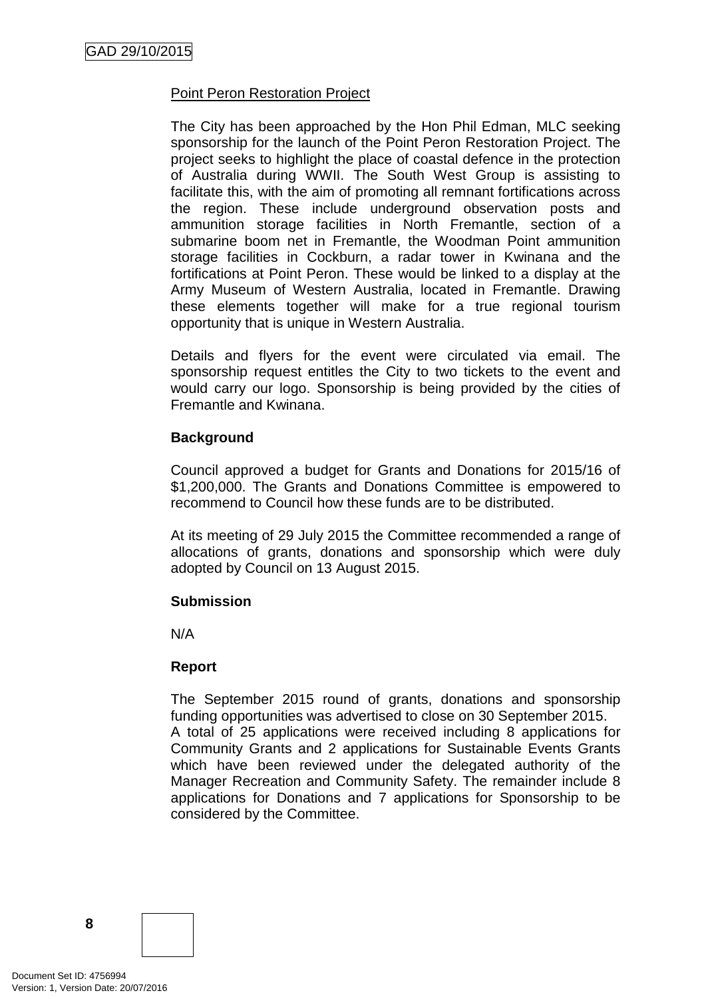# Point Peron Restoration Project

The City has been approached by the Hon Phil Edman, MLC seeking sponsorship for the launch of the Point Peron Restoration Project. The project seeks to highlight the place of coastal defence in the protection of Australia during WWII. The South West Group is assisting to facilitate this, with the aim of promoting all remnant fortifications across the region. These include underground observation posts and ammunition storage facilities in North Fremantle, section of a submarine boom net in Fremantle, the Woodman Point ammunition storage facilities in Cockburn, a radar tower in Kwinana and the fortifications at Point Peron. These would be linked to a display at the Army Museum of Western Australia, located in Fremantle. Drawing these elements together will make for a true regional tourism opportunity that is unique in Western Australia.

Details and flyers for the event were circulated via email. The sponsorship request entitles the City to two tickets to the event and would carry our logo. Sponsorship is being provided by the cities of Fremantle and Kwinana.

# **Background**

Council approved a budget for Grants and Donations for 2015/16 of \$1,200,000. The Grants and Donations Committee is empowered to recommend to Council how these funds are to be distributed.

At its meeting of 29 July 2015 the Committee recommended a range of allocations of grants, donations and sponsorship which were duly adopted by Council on 13 August 2015.

#### **Submission**

N/A

#### **Report**

The September 2015 round of grants, donations and sponsorship funding opportunities was advertised to close on 30 September 2015. A total of 25 applications were received including 8 applications for Community Grants and 2 applications for Sustainable Events Grants which have been reviewed under the delegated authority of the Manager Recreation and Community Safety. The remainder include 8 applications for Donations and 7 applications for Sponsorship to be considered by the Committee.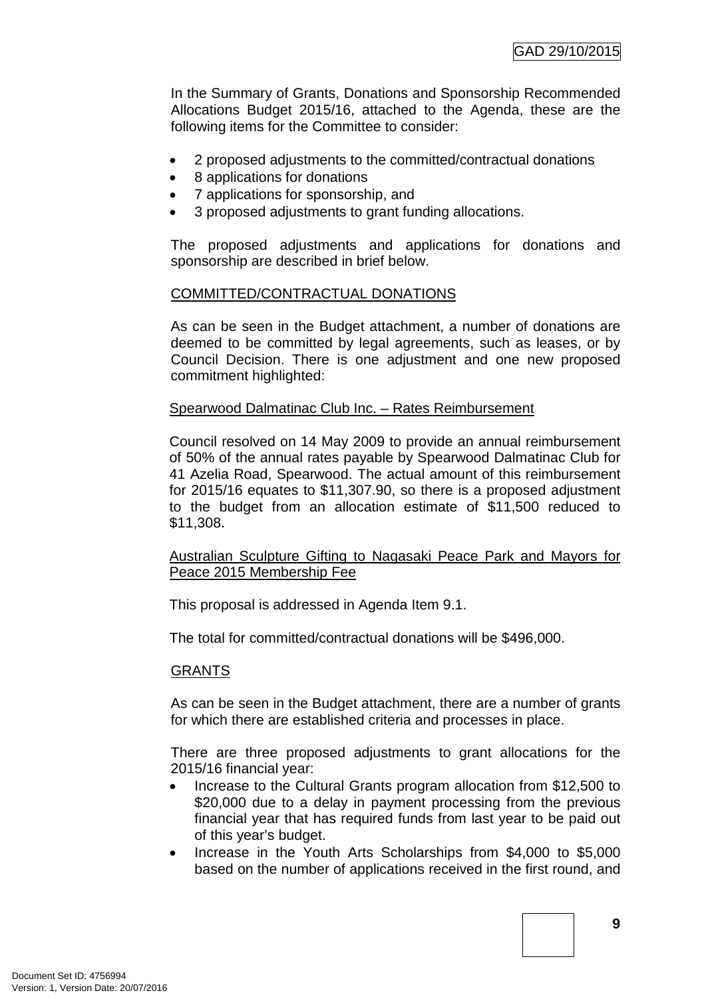In the Summary of Grants, Donations and Sponsorship Recommended Allocations Budget 2015/16, attached to the Agenda, these are the following items for the Committee to consider:

- 2 proposed adjustments to the committed/contractual donations
- 8 applications for donations
- 7 applications for sponsorship, and
- 3 proposed adjustments to grant funding allocations.

The proposed adjustments and applications for donations and sponsorship are described in brief below.

# COMMITTED/CONTRACTUAL DONATIONS

As can be seen in the Budget attachment, a number of donations are deemed to be committed by legal agreements, such as leases, or by Council Decision. There is one adjustment and one new proposed commitment highlighted:

#### Spearwood Dalmatinac Club Inc. – Rates Reimbursement

Council resolved on 14 May 2009 to provide an annual reimbursement of 50% of the annual rates payable by Spearwood Dalmatinac Club for 41 Azelia Road, Spearwood. The actual amount of this reimbursement for 2015/16 equates to \$11,307.90, so there is a proposed adjustment to the budget from an allocation estimate of \$11,500 reduced to \$11,308.

# Australian Sculpture Gifting to Nagasaki Peace Park and Mayors for Peace 2015 Membership Fee

This proposal is addressed in Agenda Item 9.1.

The total for committed/contractual donations will be \$496,000.

# **GRANTS**

As can be seen in the Budget attachment, there are a number of grants for which there are established criteria and processes in place.

There are three proposed adjustments to grant allocations for the 2015/16 financial year:

- Increase to the Cultural Grants program allocation from \$12,500 to \$20,000 due to a delay in payment processing from the previous financial year that has required funds from last year to be paid out of this year's budget.
- Increase in the Youth Arts Scholarships from \$4,000 to \$5,000 based on the number of applications received in the first round, and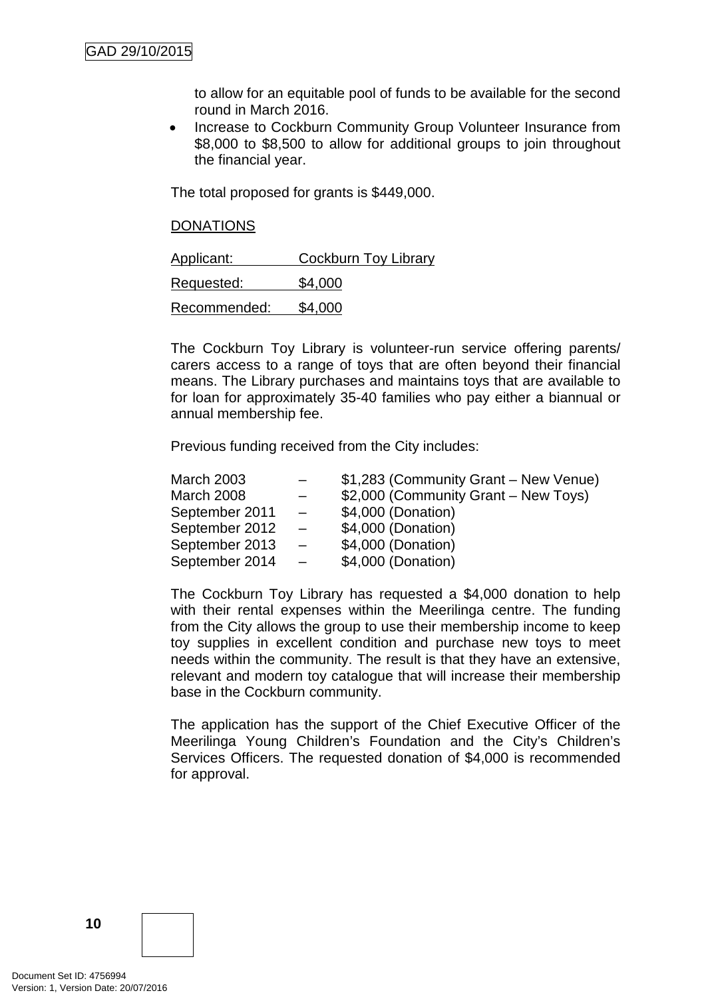to allow for an equitable pool of funds to be available for the second round in March 2016.

Increase to Cockburn Community Group Volunteer Insurance from \$8,000 to \$8,500 to allow for additional groups to join throughout the financial year.

The total proposed for grants is \$449,000.

#### **DONATIONS**

| <b>Applicant:</b> | <b>Cockburn Toy Library</b> |  |  |
|-------------------|-----------------------------|--|--|
| Requested:        | \$4,000                     |  |  |
| Recommended:      | \$4,000                     |  |  |

The Cockburn Toy Library is volunteer-run service offering parents/ carers access to a range of toys that are often beyond their financial means. The Library purchases and maintains toys that are available to for loan for approximately 35-40 families who pay either a biannual or annual membership fee.

Previous funding received from the City includes:

| <b>March 2003</b> |                          | \$1,283 (Community Grant – New Venue) |
|-------------------|--------------------------|---------------------------------------|
| <b>March 2008</b> | $\overline{\phantom{0}}$ | \$2,000 (Community Grant – New Toys)  |
| September 2011    | $\overline{\phantom{0}}$ | \$4,000 (Donation)                    |
| September 2012    | $\overline{\phantom{0}}$ | \$4,000 (Donation)                    |
| September 2013    | $\equiv$                 | \$4,000 (Donation)                    |
| September 2014    | $\overline{\phantom{m}}$ | \$4,000 (Donation)                    |

The Cockburn Toy Library has requested a \$4,000 donation to help with their rental expenses within the Meerilinga centre. The funding from the City allows the group to use their membership income to keep toy supplies in excellent condition and purchase new toys to meet needs within the community. The result is that they have an extensive, relevant and modern toy catalogue that will increase their membership base in the Cockburn community.

The application has the support of the Chief Executive Officer of the Meerilinga Young Children's Foundation and the City's Children's Services Officers. The requested donation of \$4,000 is recommended for approval.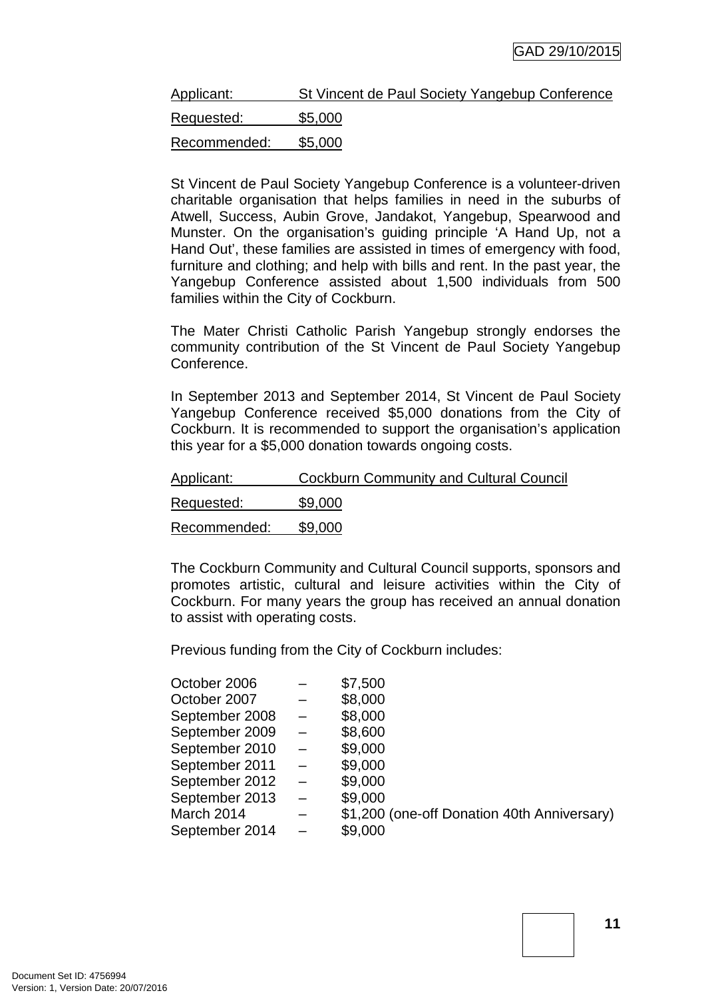| Applicant:   | St Vincent de Paul Society Yangebup Conference |
|--------------|------------------------------------------------|
| Requested:   | \$5,000                                        |
| Recommended: | \$5,000                                        |

St Vincent de Paul Society Yangebup Conference is a volunteer-driven charitable organisation that helps families in need in the suburbs of Atwell, Success, Aubin Grove, Jandakot, Yangebup, Spearwood and Munster. On the organisation's guiding principle 'A Hand Up, not a Hand Out', these families are assisted in times of emergency with food, furniture and clothing; and help with bills and rent. In the past year, the Yangebup Conference assisted about 1,500 individuals from 500 families within the City of Cockburn.

The Mater Christi Catholic Parish Yangebup strongly endorses the community contribution of the St Vincent de Paul Society Yangebup Conference.

In September 2013 and September 2014, St Vincent de Paul Society Yangebup Conference received \$5,000 donations from the City of Cockburn. It is recommended to support the organisation's application this year for a \$5,000 donation towards ongoing costs.

| Applicant:   | <b>Cockburn Community and Cultural Council</b> |
|--------------|------------------------------------------------|
| Requested:   | \$9,000                                        |
| Recommended: | \$9,000                                        |

The Cockburn Community and Cultural Council supports, sponsors and promotes artistic, cultural and leisure activities within the City of Cockburn. For many years the group has received an annual donation to assist with operating costs.

Previous funding from the City of Cockburn includes:

| October 2006   | \$7,500                                     |
|----------------|---------------------------------------------|
| October 2007   | \$8,000                                     |
| September 2008 | \$8,000                                     |
| September 2009 | \$8,600                                     |
| September 2010 | \$9,000                                     |
| September 2011 | \$9,000                                     |
| September 2012 | \$9,000                                     |
| September 2013 | \$9,000                                     |
| March 2014     | \$1,200 (one-off Donation 40th Anniversary) |
| September 2014 | \$9,000                                     |
|                |                                             |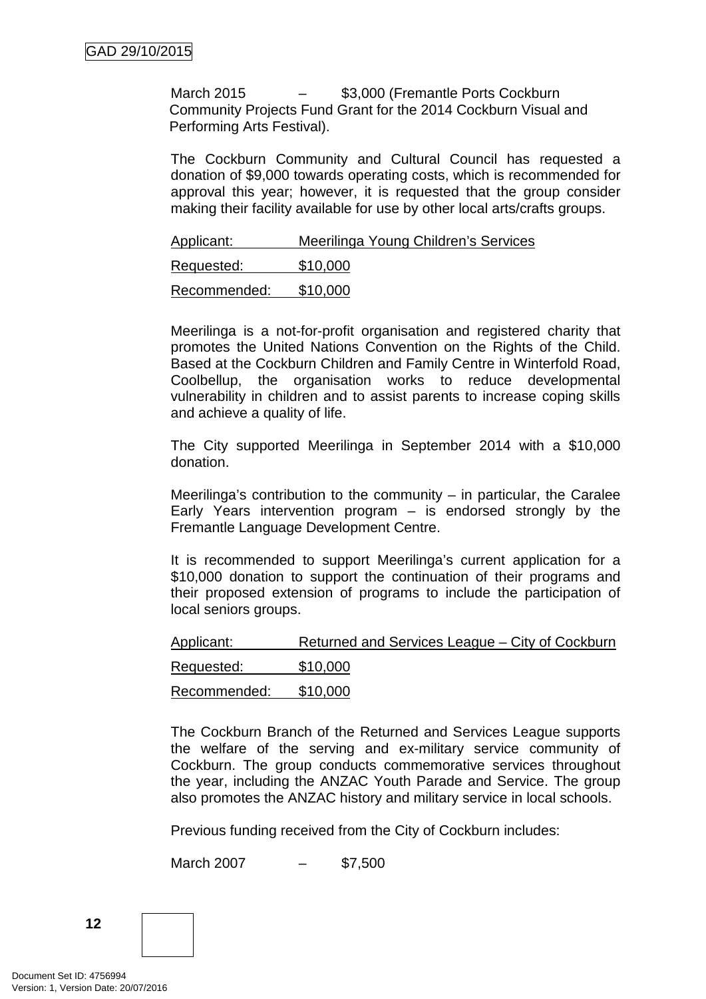March 2015 – \$3,000 (Fremantle Ports Cockburn Community Projects Fund Grant for the 2014 Cockburn Visual and Performing Arts Festival).

The Cockburn Community and Cultural Council has requested a donation of \$9,000 towards operating costs, which is recommended for approval this year; however, it is requested that the group consider making their facility available for use by other local arts/crafts groups.

| Applicant:   | Meerilinga Young Children's Services |  |  |  |
|--------------|--------------------------------------|--|--|--|
| Requested:   | \$10,000                             |  |  |  |
| Recommended: | \$10,000                             |  |  |  |

Meerilinga is a not-for-profit organisation and registered charity that promotes the United Nations Convention on the Rights of the Child. Based at the Cockburn Children and Family Centre in Winterfold Road, Coolbellup, the organisation works to reduce developmental vulnerability in children and to assist parents to increase coping skills and achieve a quality of life.

The City supported Meerilinga in September 2014 with a \$10,000 donation.

Meerilinga's contribution to the community – in particular, the Caralee Early Years intervention program – is endorsed strongly by the Fremantle Language Development Centre.

It is recommended to support Meerilinga's current application for a \$10,000 donation to support the continuation of their programs and their proposed extension of programs to include the participation of local seniors groups.

| <b>Applicant:</b> | Returned and Services League – City of Cockburn |
|-------------------|-------------------------------------------------|
| Requested:        | \$10,000                                        |
| Recommended:      | \$10,000                                        |

The Cockburn Branch of the Returned and Services League supports the welfare of the serving and ex-military service community of Cockburn. The group conducts commemorative services throughout the year, including the ANZAC Youth Parade and Service. The group also promotes the ANZAC history and military service in local schools.

Previous funding received from the City of Cockburn includes:

March 2007 – \$7,500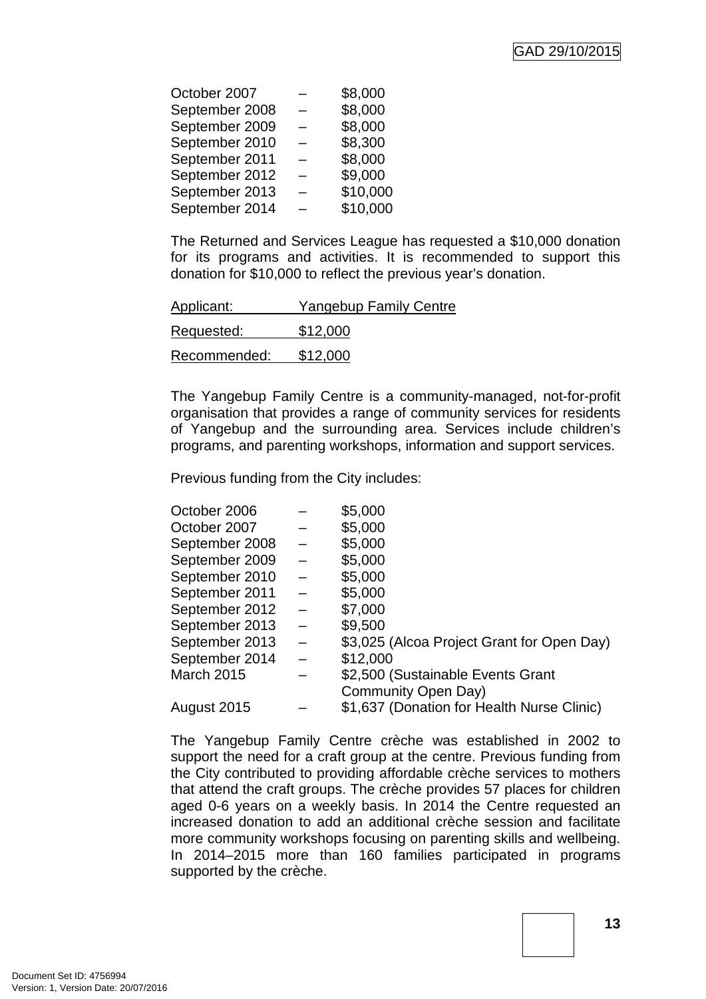| October 2007   | \$8,000  |
|----------------|----------|
| September 2008 | \$8,000  |
| September 2009 | \$8,000  |
| September 2010 | \$8,300  |
| September 2011 | \$8,000  |
| September 2012 | \$9,000  |
| September 2013 | \$10,000 |
| September 2014 | \$10,000 |
|                |          |

The Returned and Services League has requested a \$10,000 donation for its programs and activities. It is recommended to support this donation for \$10,000 to reflect the previous year's donation.

| Applicant:   | <b>Yangebup Family Centre</b> |
|--------------|-------------------------------|
| Requested:   | \$12,000                      |
| Recommended: | \$12,000                      |

The Yangebup Family Centre is a community-managed, not-for-profit organisation that provides a range of community services for residents of Yangebup and the surrounding area. Services include children's programs, and parenting workshops, information and support services.

Previous funding from the City includes:

| October 2006      |                          | \$5,000                                    |
|-------------------|--------------------------|--------------------------------------------|
| October 2007      |                          | \$5,000                                    |
| September 2008    |                          | \$5,000                                    |
| September 2009    |                          | \$5,000                                    |
| September 2010    |                          | \$5,000                                    |
| September 2011    |                          | \$5,000                                    |
| September 2012    | $\equiv$                 | \$7,000                                    |
| September 2013    | $\overline{\phantom{0}}$ | \$9,500                                    |
| September 2013    | $\overline{\phantom{0}}$ | \$3,025 (Alcoa Project Grant for Open Day) |
| September 2014    |                          | \$12,000                                   |
| <b>March 2015</b> |                          | \$2,500 (Sustainable Events Grant          |
|                   |                          | Community Open Day)                        |
| August 2015       |                          | \$1,637 (Donation for Health Nurse Clinic) |
|                   |                          |                                            |

The Yangebup Family Centre crèche was established in 2002 to support the need for a craft group at the centre. Previous funding from the City contributed to providing affordable crèche services to mothers that attend the craft groups. The crèche provides 57 places for children aged 0-6 years on a weekly basis. In 2014 the Centre requested an increased donation to add an additional crèche session and facilitate more community workshops focusing on parenting skills and wellbeing. In 2014–2015 more than 160 families participated in programs supported by the crèche.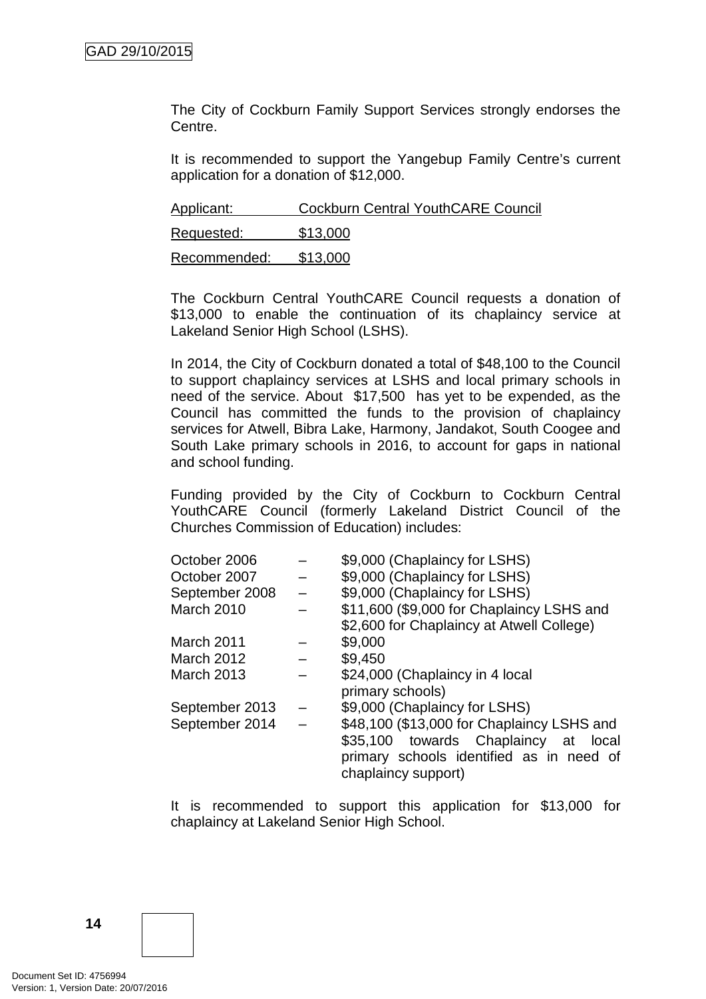The City of Cockburn Family Support Services strongly endorses the Centre.

It is recommended to support the Yangebup Family Centre's current application for a donation of \$12,000.

| <b>Applicant:</b> | <b>Cockburn Central YouthCARE Council</b> |
|-------------------|-------------------------------------------|
| Requested:        | \$13,000                                  |
| Recommended:      | \$13,000                                  |

The Cockburn Central YouthCARE Council requests a donation of \$13,000 to enable the continuation of its chaplaincy service at Lakeland Senior High School (LSHS).

In 2014, the City of Cockburn donated a total of \$48,100 to the Council to support chaplaincy services at LSHS and local primary schools in need of the service. About \$17,500 has yet to be expended, as the Council has committed the funds to the provision of chaplaincy services for Atwell, Bibra Lake, Harmony, Jandakot, South Coogee and South Lake primary schools in 2016, to account for gaps in national and school funding.

Funding provided by the City of Cockburn to Cockburn Central YouthCARE Council (formerly Lakeland District Council of the Churches Commission of Education) includes:

| October 2006      | \$9,000 (Chaplaincy for LSHS)              |  |
|-------------------|--------------------------------------------|--|
| October 2007      | \$9,000 (Chaplaincy for LSHS)              |  |
| September 2008    | \$9,000 (Chaplaincy for LSHS)              |  |
| March 2010        | \$11,600 (\$9,000 for Chaplaincy LSHS and  |  |
|                   | \$2,600 for Chaplaincy at Atwell College)  |  |
| March 2011        | \$9,000                                    |  |
| <b>March 2012</b> | \$9,450                                    |  |
| <b>March 2013</b> | \$24,000 (Chaplaincy in 4 local            |  |
|                   | primary schools)                           |  |
| September 2013    | \$9,000 (Chaplaincy for LSHS)              |  |
| September 2014    | \$48,100 (\$13,000 for Chaplaincy LSHS and |  |
|                   | \$35,100 towards Chaplaincy at<br>local    |  |
|                   | primary schools identified as in need of   |  |
|                   | chaplaincy support)                        |  |
|                   |                                            |  |

It is recommended to support this application for \$13,000 for chaplaincy at Lakeland Senior High School.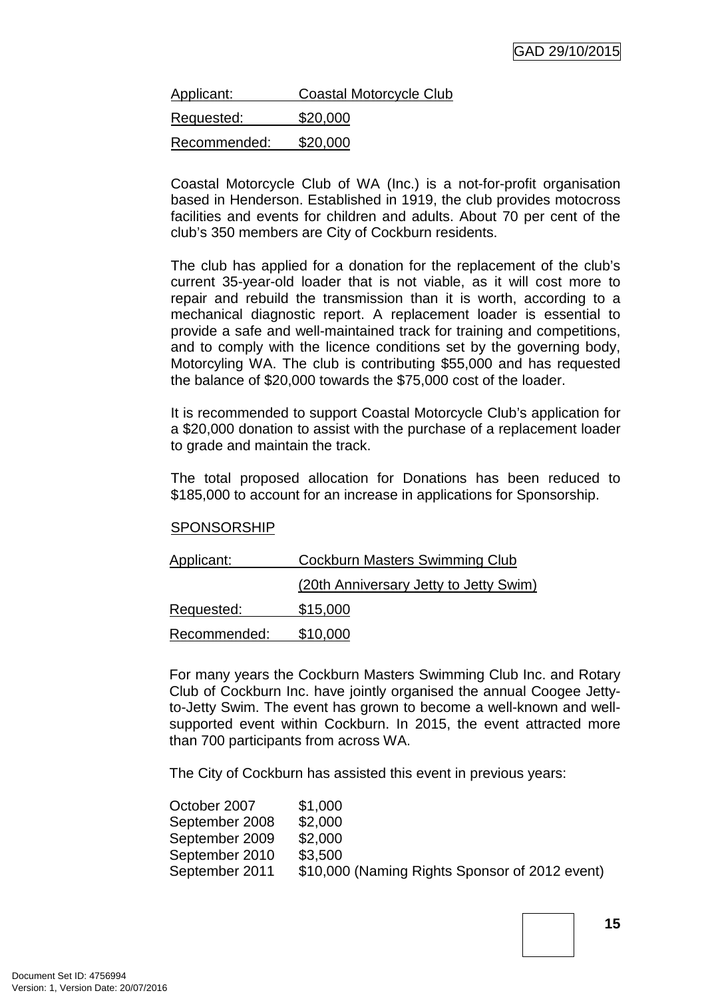Applicant: Coastal Motorcycle Club Requested: \$20,000 Recommended: \$20,000

Coastal Motorcycle Club of WA (Inc.) is a not-for-profit organisation based in Henderson. Established in 1919, the club provides motocross facilities and events for children and adults. About 70 per cent of the club's 350 members are City of Cockburn residents.

The club has applied for a donation for the replacement of the club's current 35-year-old loader that is not viable, as it will cost more to repair and rebuild the transmission than it is worth, according to a mechanical diagnostic report. A replacement loader is essential to provide a safe and well-maintained track for training and competitions, and to comply with the licence conditions set by the governing body, Motorcyling WA. The club is contributing \$55,000 and has requested the balance of \$20,000 towards the \$75,000 cost of the loader.

It is recommended to support Coastal Motorcycle Club's application for a \$20,000 donation to assist with the purchase of a replacement loader to grade and maintain the track.

The total proposed allocation for Donations has been reduced to \$185,000 to account for an increase in applications for Sponsorship.

#### SPONSORSHIP

| Applicant:   | <b>Cockburn Masters Swimming Club</b>  |  |
|--------------|----------------------------------------|--|
|              | (20th Anniversary Jetty to Jetty Swim) |  |
| Requested:   | \$15,000                               |  |
| Recommended: | \$10,000                               |  |

For many years the Cockburn Masters Swimming Club Inc. and Rotary Club of Cockburn Inc. have jointly organised the annual Coogee Jettyto-Jetty Swim. The event has grown to become a well-known and wellsupported event within Cockburn. In 2015, the event attracted more than 700 participants from across WA.

The City of Cockburn has assisted this event in previous years:

| \$1,000                                        |
|------------------------------------------------|
| \$2,000                                        |
| \$2,000                                        |
| \$3,500                                        |
| \$10,000 (Naming Rights Sponsor of 2012 event) |
|                                                |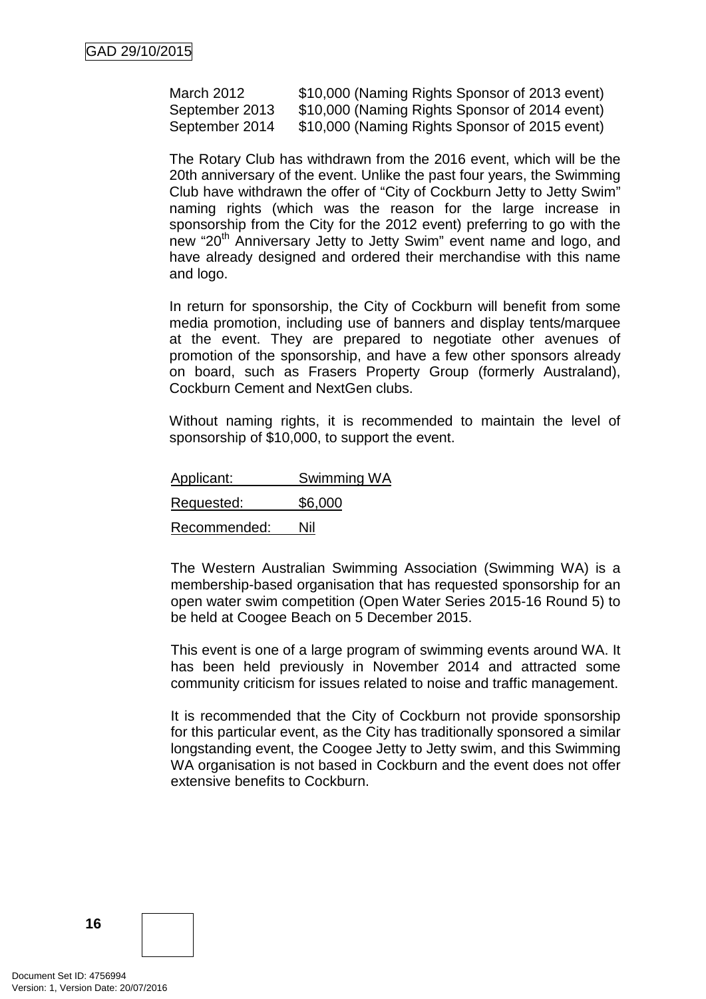| March 2012     | \$10,000 (Naming Rights Sponsor of 2013 event) |
|----------------|------------------------------------------------|
| September 2013 | \$10,000 (Naming Rights Sponsor of 2014 event) |
| September 2014 | \$10,000 (Naming Rights Sponsor of 2015 event) |

The Rotary Club has withdrawn from the 2016 event, which will be the 20th anniversary of the event. Unlike the past four years, the Swimming Club have withdrawn the offer of "City of Cockburn Jetty to Jetty Swim" naming rights (which was the reason for the large increase in sponsorship from the City for the 2012 event) preferring to go with the new "20<sup>th</sup> Anniversary Jetty to Jetty Swim" event name and logo, and have already designed and ordered their merchandise with this name and logo.

In return for sponsorship, the City of Cockburn will benefit from some media promotion, including use of banners and display tents/marquee at the event. They are prepared to negotiate other avenues of promotion of the sponsorship, and have a few other sponsors already on board, such as Frasers Property Group (formerly Australand), Cockburn Cement and NextGen clubs.

Without naming rights, it is recommended to maintain the level of sponsorship of \$10,000, to support the event.

Applicant: Swimming WA Requested: \$6,000 Recommended: Nil

The Western Australian Swimming Association (Swimming WA) is a membership-based organisation that has requested sponsorship for an open water swim competition (Open Water Series 2015-16 Round 5) to be held at Coogee Beach on 5 December 2015.

This event is one of a large program of swimming events around WA. It has been held previously in November 2014 and attracted some community criticism for issues related to noise and traffic management.

It is recommended that the City of Cockburn not provide sponsorship for this particular event, as the City has traditionally sponsored a similar longstanding event, the Coogee Jetty to Jetty swim, and this Swimming WA organisation is not based in Cockburn and the event does not offer extensive benefits to Cockburn.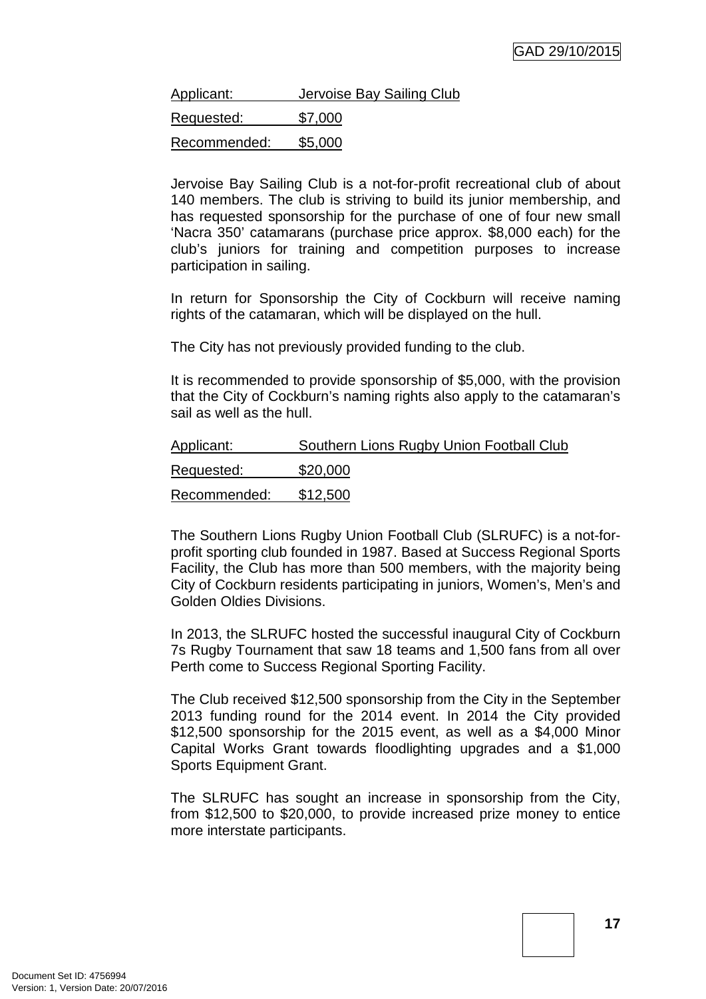Applicant: Jervoise Bay Sailing Club Requested: \$7,000

Recommended: \$5,000

Jervoise Bay Sailing Club is a not-for-profit recreational club of about 140 members. The club is striving to build its junior membership, and has requested sponsorship for the purchase of one of four new small 'Nacra 350' catamarans (purchase price approx. \$8,000 each) for the club's juniors for training and competition purposes to increase participation in sailing.

In return for Sponsorship the City of Cockburn will receive naming rights of the catamaran, which will be displayed on the hull.

The City has not previously provided funding to the club.

It is recommended to provide sponsorship of \$5,000, with the provision that the City of Cockburn's naming rights also apply to the catamaran's sail as well as the hull.

| Applicant:        | Southern Lions Rugby Union Football Club |
|-------------------|------------------------------------------|
| <u>Requested:</u> | \$20,000                                 |
| Recommended:      | \$12,500                                 |

The Southern Lions Rugby Union Football Club (SLRUFC) is a not-forprofit sporting club founded in 1987. Based at Success Regional Sports Facility, the Club has more than 500 members, with the majority being City of Cockburn residents participating in juniors, Women's, Men's and Golden Oldies Divisions.

In 2013, the SLRUFC hosted the successful inaugural City of Cockburn 7s Rugby Tournament that saw 18 teams and 1,500 fans from all over Perth come to Success Regional Sporting Facility.

The Club received \$12,500 sponsorship from the City in the September 2013 funding round for the 2014 event. In 2014 the City provided \$12,500 sponsorship for the 2015 event, as well as a \$4,000 Minor Capital Works Grant towards floodlighting upgrades and a \$1,000 Sports Equipment Grant.

The SLRUFC has sought an increase in sponsorship from the City, from \$12,500 to \$20,000, to provide increased prize money to entice more interstate participants.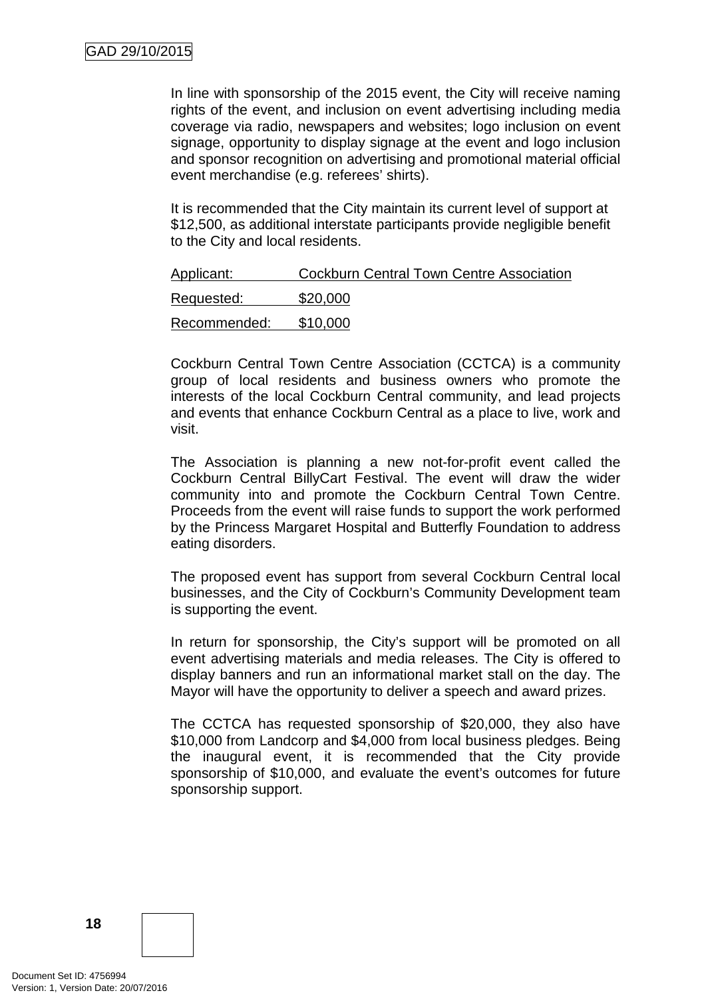In line with sponsorship of the 2015 event, the City will receive naming rights of the event, and inclusion on event advertising including media coverage via radio, newspapers and websites; logo inclusion on event signage, opportunity to display signage at the event and logo inclusion and sponsor recognition on advertising and promotional material official event merchandise (e.g. referees' shirts).

It is recommended that the City maintain its current level of support at \$12,500, as additional interstate participants provide negligible benefit to the City and local residents.

| Applicant:   | <b>Cockburn Central Town Centre Association</b> |
|--------------|-------------------------------------------------|
| Requested:   | \$20,000                                        |
| Recommended: | \$10,000                                        |

Cockburn Central Town Centre Association (CCTCA) is a community group of local residents and business owners who promote the interests of the local Cockburn Central community, and lead projects and events that enhance Cockburn Central as a place to live, work and visit.

The Association is planning a new not-for-profit event called the Cockburn Central BillyCart Festival. The event will draw the wider community into and promote the Cockburn Central Town Centre. Proceeds from the event will raise funds to support the work performed by the Princess Margaret Hospital and Butterfly Foundation to address eating disorders.

The proposed event has support from several Cockburn Central local businesses, and the City of Cockburn's Community Development team is supporting the event.

In return for sponsorship, the City's support will be promoted on all event advertising materials and media releases. The City is offered to display banners and run an informational market stall on the day. The Mayor will have the opportunity to deliver a speech and award prizes.

The CCTCA has requested sponsorship of \$20,000, they also have \$10,000 from Landcorp and \$4,000 from local business pledges. Being the inaugural event, it is recommended that the City provide sponsorship of \$10,000, and evaluate the event's outcomes for future sponsorship support.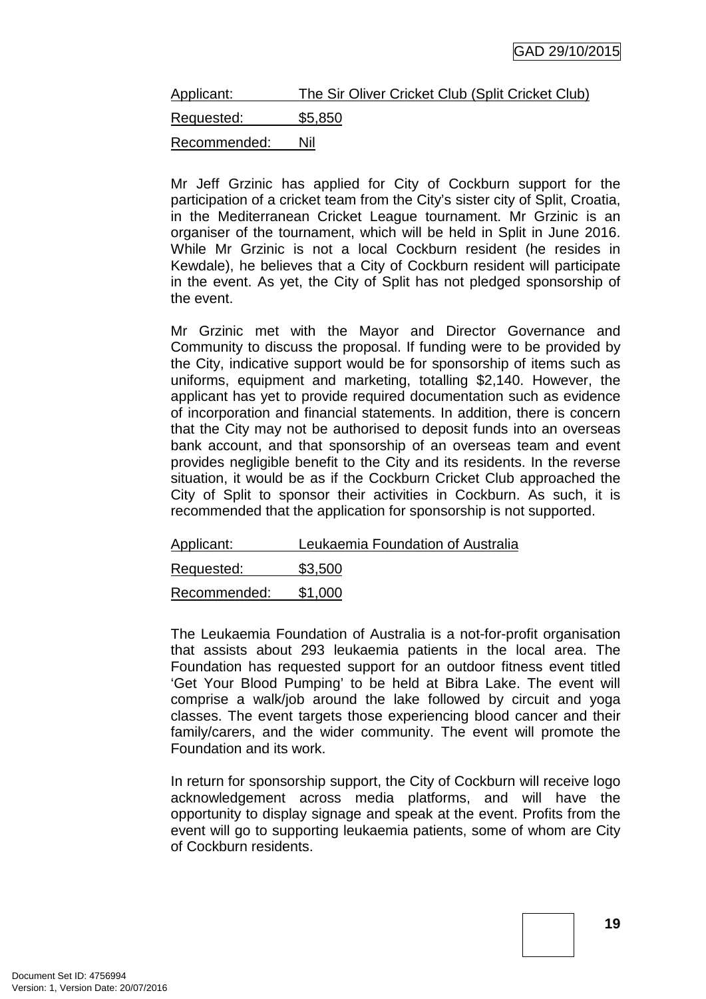Applicant: The Sir Oliver Cricket Club (Split Cricket Club)

Requested: \$5,850

Recommended: Nil

Mr Jeff Grzinic has applied for City of Cockburn support for the participation of a cricket team from the City's sister city of Split, Croatia, in the Mediterranean Cricket League tournament. Mr Grzinic is an organiser of the tournament, which will be held in Split in June 2016. While Mr Grzinic is not a local Cockburn resident (he resides in Kewdale), he believes that a City of Cockburn resident will participate in the event. As yet, the City of Split has not pledged sponsorship of the event.

Mr Grzinic met with the Mayor and Director Governance and Community to discuss the proposal. If funding were to be provided by the City, indicative support would be for sponsorship of items such as uniforms, equipment and marketing, totalling \$2,140. However, the applicant has yet to provide required documentation such as evidence of incorporation and financial statements. In addition, there is concern that the City may not be authorised to deposit funds into an overseas bank account, and that sponsorship of an overseas team and event provides negligible benefit to the City and its residents. In the reverse situation, it would be as if the Cockburn Cricket Club approached the City of Split to sponsor their activities in Cockburn. As such, it is recommended that the application for sponsorship is not supported.

| <b>Applicant:</b> | Leukaemia Foundation of Australia |
|-------------------|-----------------------------------|
| Requested:        | \$3,500                           |
| Recommended:      | \$1,000                           |

The Leukaemia Foundation of Australia is a not-for-profit organisation that assists about 293 leukaemia patients in the local area. The Foundation has requested support for an outdoor fitness event titled 'Get Your Blood Pumping' to be held at Bibra Lake. The event will comprise a walk/job around the lake followed by circuit and yoga classes. The event targets those experiencing blood cancer and their family/carers, and the wider community. The event will promote the Foundation and its work.

In return for sponsorship support, the City of Cockburn will receive logo acknowledgement across media platforms, and will have the opportunity to display signage and speak at the event. Profits from the event will go to supporting leukaemia patients, some of whom are City of Cockburn residents.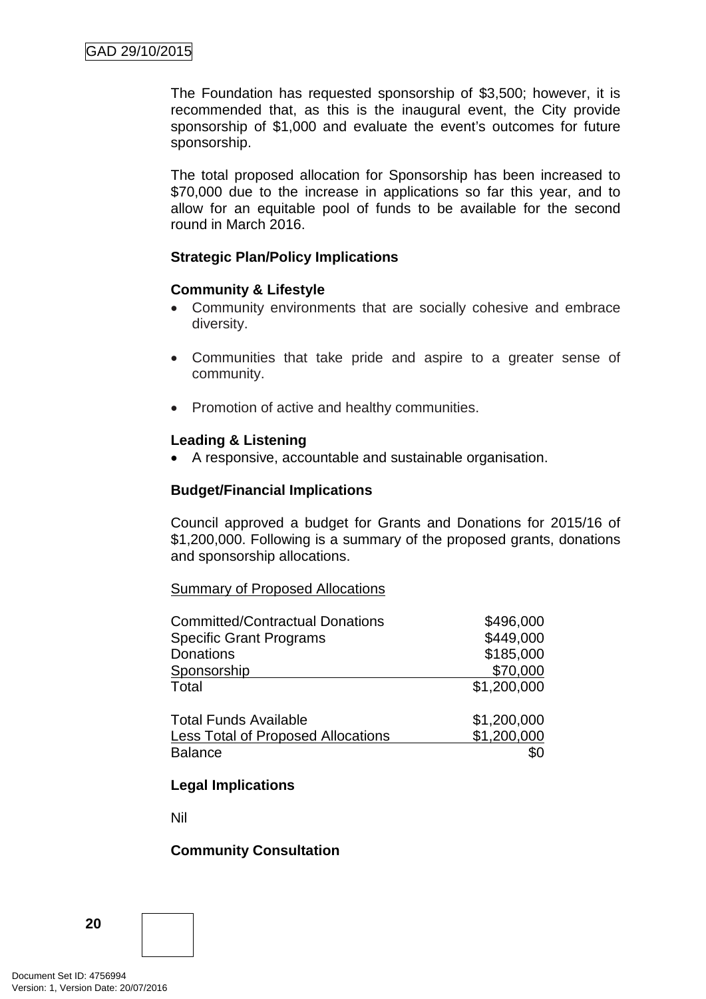The Foundation has requested sponsorship of \$3,500; however, it is recommended that, as this is the inaugural event, the City provide sponsorship of \$1,000 and evaluate the event's outcomes for future sponsorship.

The total proposed allocation for Sponsorship has been increased to \$70,000 due to the increase in applications so far this year, and to allow for an equitable pool of funds to be available for the second round in March 2016.

#### **Strategic Plan/Policy Implications**

#### **Community & Lifestyle**

- Community environments that are socially cohesive and embrace diversity.
- Communities that take pride and aspire to a greater sense of community.
- Promotion of active and healthy communities.

#### **Leading & Listening**

• A responsive, accountable and sustainable organisation.

#### **Budget/Financial Implications**

Council approved a budget for Grants and Donations for 2015/16 of \$1,200,000. Following is a summary of the proposed grants, donations and sponsorship allocations.

Summary of Proposed Allocations

| <b>Committed/Contractual Donations</b>    | \$496,000   |
|-------------------------------------------|-------------|
| <b>Specific Grant Programs</b>            | \$449,000   |
| <b>Donations</b>                          | \$185,000   |
| Sponsorship                               | \$70,000    |
| Total                                     | \$1,200,000 |
| <b>Total Funds Available</b>              | \$1,200,000 |
| <b>Less Total of Proposed Allocations</b> | \$1,200,000 |
| <b>Balance</b>                            |             |

#### **Legal Implications**

Nil

#### **Community Consultation**

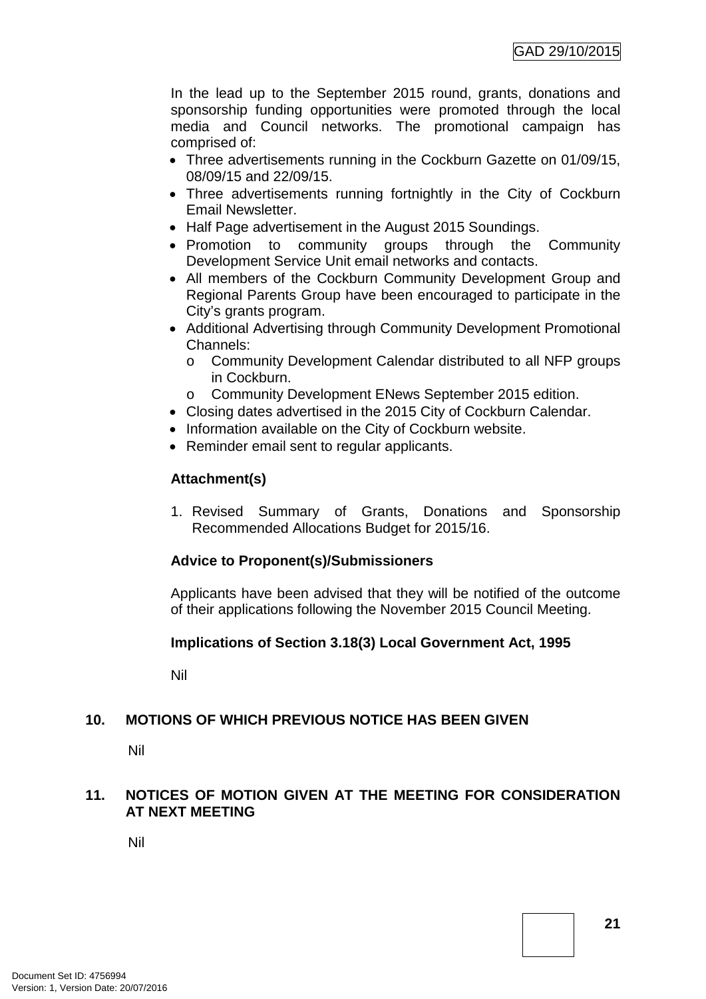In the lead up to the September 2015 round, grants, donations and sponsorship funding opportunities were promoted through the local media and Council networks. The promotional campaign has comprised of:

- Three advertisements running in the Cockburn Gazette on 01/09/15, 08/09/15 and 22/09/15.
- Three advertisements running fortnightly in the City of Cockburn Email Newsletter.
- Half Page advertisement in the August 2015 Soundings.
- Promotion to community groups through the Community Development Service Unit email networks and contacts.
- All members of the Cockburn Community Development Group and Regional Parents Group have been encouraged to participate in the City's grants program.
- Additional Advertising through Community Development Promotional Channels:
	- o Community Development Calendar distributed to all NFP groups in Cockburn.
	- o Community Development ENews September 2015 edition.
- Closing dates advertised in the 2015 City of Cockburn Calendar.
- Information available on the City of Cockburn website.
- Reminder email sent to regular applicants.

# **Attachment(s)**

1. Revised Summary of Grants, Donations and Sponsorship Recommended Allocations Budget for 2015/16.

# **Advice to Proponent(s)/Submissioners**

Applicants have been advised that they will be notified of the outcome of their applications following the November 2015 Council Meeting.

# **Implications of Section 3.18(3) Local Government Act, 1995**

Nil

# **10. MOTIONS OF WHICH PREVIOUS NOTICE HAS BEEN GIVEN**

Nil

#### **11. NOTICES OF MOTION GIVEN AT THE MEETING FOR CONSIDERATION AT NEXT MEETING**

Nil